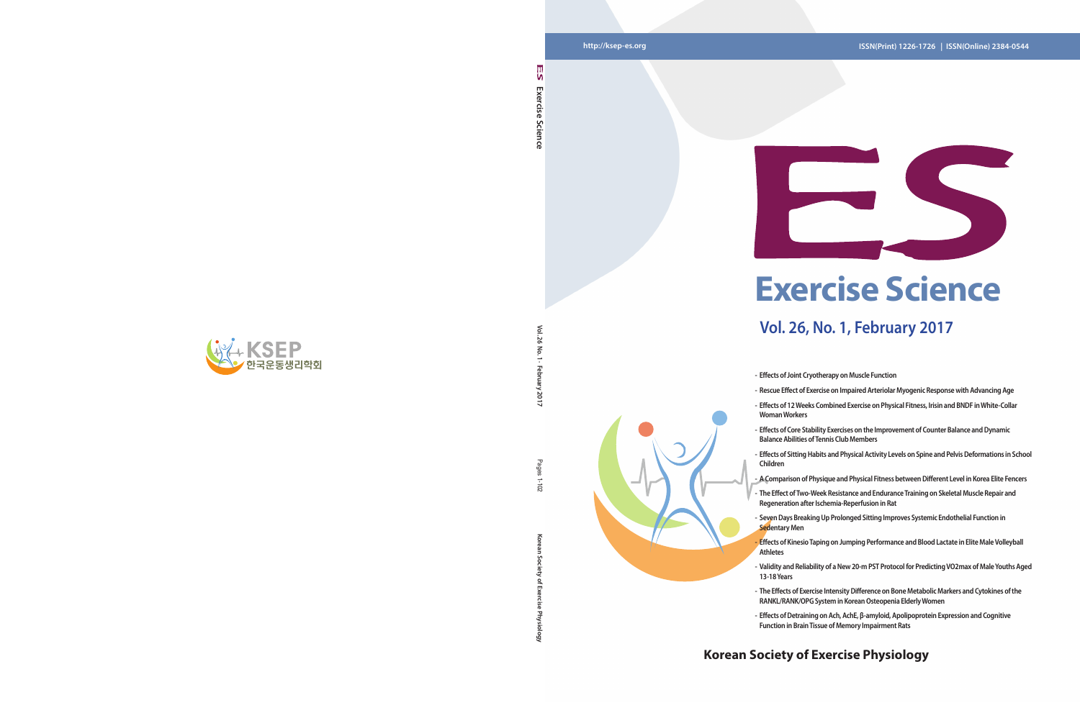**Vol. 26 No. 1 · February 2017**

7017

Pages  $201 - 1$ 

 $\leq$  $\overline{\kappa}$  $\overline{5}$ 

**Korean Society of Exercise Physiology** Pages 1-102

ਨ

### **http://ksep-es.org ISSN(Print) 1226-1726 | ISSN(Online) 2384-0544**

### **Korean Society of Exercise Physiology**



**Exercise Science** 

Science

Exercise

۱n



## **Vol. 26, No. 1, February 2017**

- **- Effects of Joint Cryotherapy on Muscle Function**
- **- Rescue Effect of Exercise on Impaired Arteriolar Myogenic Response with Advancing Age - Effects of 12 Weeks Combined Exercise on Physical Fitness, Irisin and BNDF in White-Collar** 
	-
- **- Effects of Core Stability Exercises on the Improvement of Counter Balance and Dynamic Balance Abilities of Tennis Club Members**
- **- Effects of Sitting Habits and Physical Activity Levels on Spine and Pelvis Deformations in School**
- **- Seven Days Breaking Up Prolonged Sitting Improves Systemic Endothelial Function in**
- **- Effects of Kinesio Taping on Jumping Performance and Blood Lactate in Elite Male Volleyball**
- **- Validity and Reliability of a New 20-m PST Protocol for Predicting VO2max of Male Youths Aged**
- 
- **Woman Workers**
- 
- **Children**
- **- A Comparison of Physique and Physical Fitness between Different Level in Korea Elite Fencers**
- **- The Effect of Two-Week Resistance and Endurance Training on Skeletal Muscle Repair and Regeneration after Ischemia-Reperfusion in Rat**
- **Sedentary Men**
- **Athletes**
- **13-18 Years**
- **- The Effects of Exercise Intensity Difference on Bone Metabolic Markers and Cytokines of the RANKL/RANK/OPG System in Korean Osteopenia Elderly Women**
- **- Effects of Detraining on Ach, AchE, β-amyloid, Apolipoprotein Expression and Cognitive Function in Brain Tissue of Memory Impairment Rats**